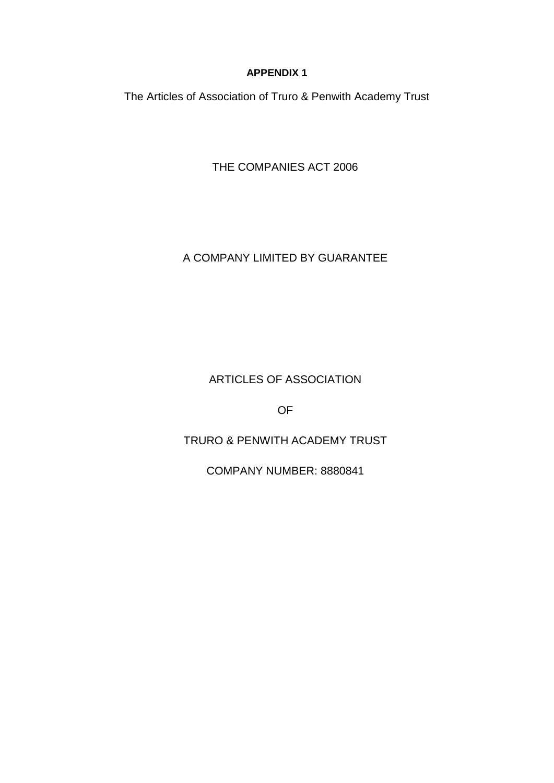## **APPENDIX 1**

The Articles of Association of Truro & Penwith Academy Trust

THE COMPANIES ACT 2006

# A COMPANY LIMITED BY GUARANTEE

ARTICLES OF ASSOCIATION

OF

TRURO & PENWITH ACADEMY TRUST

COMPANY NUMBER: 8880841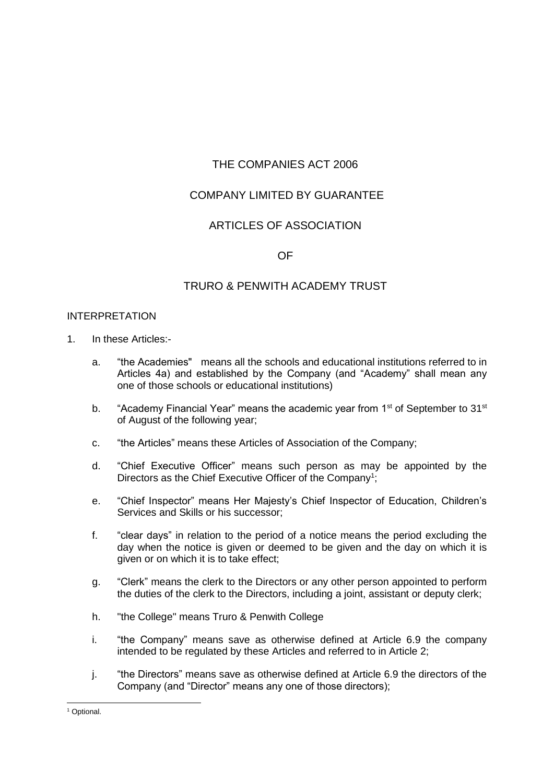# THE COMPANIES ACT 2006

# COMPANY LIMITED BY GUARANTEE

## ARTICLES OF ASSOCIATION

## OF

## TRURO & PENWITH ACADEMY TRUST

## INTERPRETATION

- 1. In these Articles:
	- a. "the Academies" means all the schools and educational institutions referred to in Articles 4a) and established by the Company (and "Academy" shall mean any one of those schools or educational institutions)
	- b. "Academy Financial Year" means the academic year from 1<sup>st</sup> of September to 31<sup>st</sup> of August of the following year;
	- c. "the Articles" means these Articles of Association of the Company;
	- d. "Chief Executive Officer" means such person as may be appointed by the Directors as the Chief Executive Officer of the Company<sup>1</sup>;
	- e. "Chief Inspector" means Her Majesty's Chief Inspector of Education, Children's Services and Skills or his successor;
	- f. "clear days" in relation to the period of a notice means the period excluding the day when the notice is given or deemed to be given and the day on which it is given or on which it is to take effect;
	- g. "Clerk" means the clerk to the Directors or any other person appointed to perform the duties of the clerk to the Directors, including a joint, assistant or deputy clerk;
	- h. "the College" means Truro & Penwith College
	- i. "the Company" means save as otherwise defined at Article 6.9 the company intended to be regulated by these Articles and referred to in Article 2;
	- j. "the Directors" means save as otherwise defined at Article 6.9 the directors of the Company (and "Director" means any one of those directors);

-

<sup>&</sup>lt;sup>1</sup> Optional.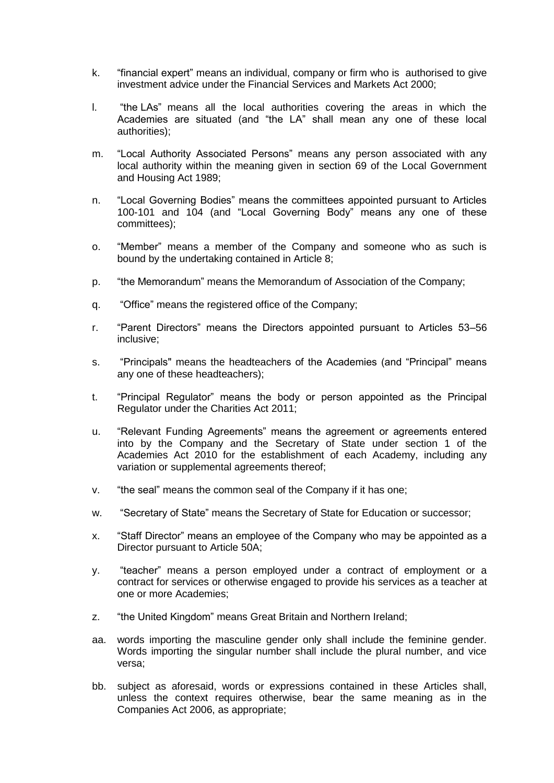- k. "financial expert" means an individual, company or firm who is authorised to give investment advice under the Financial Services and Markets Act 2000;
- l. "the LAs" means all the local authorities covering the areas in which the Academies are situated (and "the LA" shall mean any one of these local authorities);
- m. "Local Authority Associated Persons" means any person associated with any local authority within the meaning given in section 69 of the Local Government and Housing Act 1989;
- n. "Local Governing Bodies" means the committees appointed pursuant to Articles 100-101 and 104 (and "Local Governing Body" means any one of these committees);
- o. "Member" means a member of the Company and someone who as such is bound by the undertaking contained in Article 8;
- p. "the Memorandum" means the Memorandum of Association of the Company;
- q. "Office" means the registered office of the Company;
- r. "Parent Directors" means the Directors appointed pursuant to Articles 53–56 inclusive;
- s. "Principals" means the headteachers of the Academies (and "Principal" means any one of these headteachers);
- t. "Principal Regulator" means the body or person appointed as the Principal Regulator under the Charities Act 2011;
- u. "Relevant Funding Agreements" means the agreement or agreements entered into by the Company and the Secretary of State under section 1 of the Academies Act 2010 for the establishment of each Academy, including any variation or supplemental agreements thereof;
- v. "the seal" means the common seal of the Company if it has one;
- w. "Secretary of State" means the Secretary of State for Education or successor;
- x. "Staff Director" means an employee of the Company who may be appointed as a Director pursuant to Article 50A;
- y. "teacher" means a person employed under a contract of employment or a contract for services or otherwise engaged to provide his services as a teacher at one or more Academies;
- z. "the United Kingdom" means Great Britain and Northern Ireland;
- aa. words importing the masculine gender only shall include the feminine gender. Words importing the singular number shall include the plural number, and vice versa;
- bb. subject as aforesaid, words or expressions contained in these Articles shall, unless the context requires otherwise, bear the same meaning as in the Companies Act 2006, as appropriate;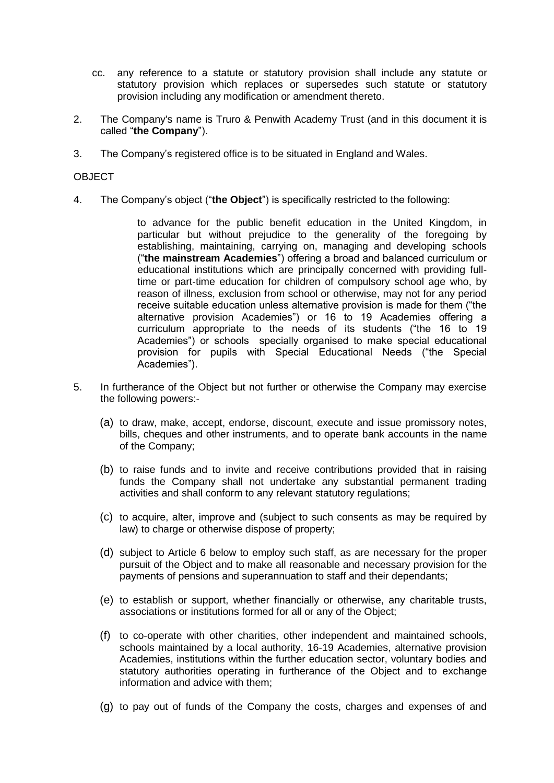- cc. any reference to a statute or statutory provision shall include any statute or statutory provision which replaces or supersedes such statute or statutory provision including any modification or amendment thereto.
- 2. The Company's name is Truro & Penwith Academy Trust (and in this document it is called "**the Company**").
- 3. The Company's registered office is to be situated in England and Wales.

## **OBJECT**

4. The Company's object ("**the Object**") is specifically restricted to the following:

to advance for the public benefit education in the United Kingdom, in particular but without prejudice to the generality of the foregoing by establishing, maintaining, carrying on, managing and developing schools ("**the mainstream Academies**") offering a broad and balanced curriculum or educational institutions which are principally concerned with providing fulltime or part-time education for children of compulsory school age who, by reason of illness, exclusion from school or otherwise, may not for any period receive suitable education unless alternative provision is made for them ("the alternative provision Academies") or 16 to 19 Academies offering a curriculum appropriate to the needs of its students ("the 16 to 19 Academies") or schools specially organised to make special educational provision for pupils with Special Educational Needs ("the Special Academies").

- 5. In furtherance of the Object but not further or otherwise the Company may exercise the following powers:-
	- (a) to draw, make, accept, endorse, discount, execute and issue promissory notes, bills, cheques and other instruments, and to operate bank accounts in the name of the Company;
	- (b) to raise funds and to invite and receive contributions provided that in raising funds the Company shall not undertake any substantial permanent trading activities and shall conform to any relevant statutory regulations;
	- (c) to acquire, alter, improve and (subject to such consents as may be required by law) to charge or otherwise dispose of property;
	- (d) subject to Article 6 below to employ such staff, as are necessary for the proper pursuit of the Object and to make all reasonable and necessary provision for the payments of pensions and superannuation to staff and their dependants;
	- (e) to establish or support, whether financially or otherwise, any charitable trusts, associations or institutions formed for all or any of the Object;
	- (f) to co-operate with other charities, other independent and maintained schools, schools maintained by a local authority, 16-19 Academies, alternative provision Academies, institutions within the further education sector, voluntary bodies and statutory authorities operating in furtherance of the Object and to exchange information and advice with them;
	- (g) to pay out of funds of the Company the costs, charges and expenses of and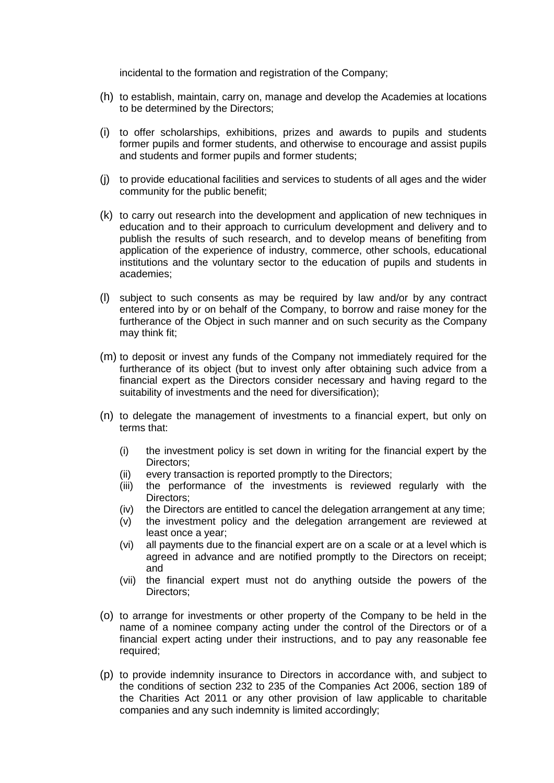incidental to the formation and registration of the Company;

- (h) to establish, maintain, carry on, manage and develop the Academies at locations to be determined by the Directors;
- (i) to offer scholarships, exhibitions, prizes and awards to pupils and students former pupils and former students, and otherwise to encourage and assist pupils and students and former pupils and former students;
- (j) to provide educational facilities and services to students of all ages and the wider community for the public benefit;
- (k) to carry out research into the development and application of new techniques in education and to their approach to curriculum development and delivery and to publish the results of such research, and to develop means of benefiting from application of the experience of industry, commerce, other schools, educational institutions and the voluntary sector to the education of pupils and students in academies;
- (l) subject to such consents as may be required by law and/or by any contract entered into by or on behalf of the Company, to borrow and raise money for the furtherance of the Object in such manner and on such security as the Company may think fit;
- (m) to deposit or invest any funds of the Company not immediately required for the furtherance of its object (but to invest only after obtaining such advice from a financial expert as the Directors consider necessary and having regard to the suitability of investments and the need for diversification);
- (n) to delegate the management of investments to a financial expert, but only on terms that:
	- (i) the investment policy is set down in writing for the financial expert by the Directors;
	- (ii) every transaction is reported promptly to the Directors;
	- (iii) the performance of the investments is reviewed regularly with the Directors;
	- (iv) the Directors are entitled to cancel the delegation arrangement at any time;
	- (v) the investment policy and the delegation arrangement are reviewed at least once a year;
	- (vi) all payments due to the financial expert are on a scale or at a level which is agreed in advance and are notified promptly to the Directors on receipt; and
	- (vii) the financial expert must not do anything outside the powers of the Directors;
- (o) to arrange for investments or other property of the Company to be held in the name of a nominee company acting under the control of the Directors or of a financial expert acting under their instructions, and to pay any reasonable fee required;
- (p) to provide indemnity insurance to Directors in accordance with, and subject to the conditions of section 232 to 235 of the Companies Act 2006, section 189 of the Charities Act 2011 or any other provision of law applicable to charitable companies and any such indemnity is limited accordingly;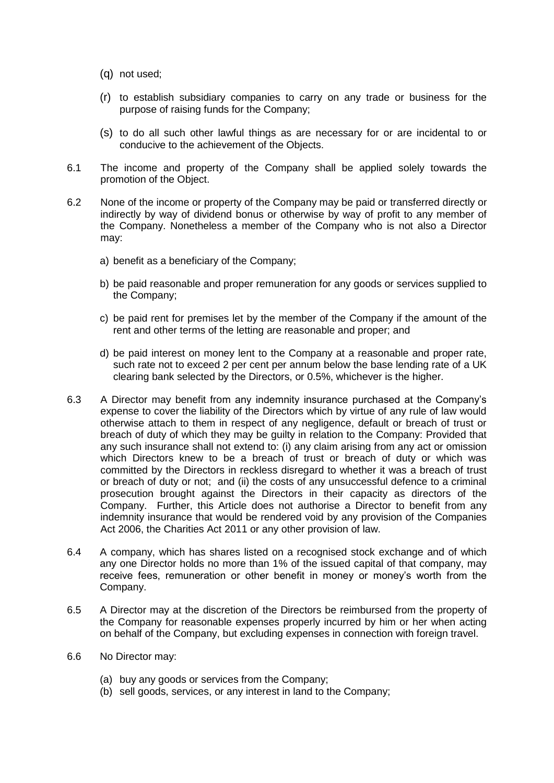- (q) not used;
- (r) to establish subsidiary companies to carry on any trade or business for the purpose of raising funds for the Company;
- (s) to do all such other lawful things as are necessary for or are incidental to or conducive to the achievement of the Objects.
- 6.1 The income and property of the Company shall be applied solely towards the promotion of the Object.
- 6.2 None of the income or property of the Company may be paid or transferred directly or indirectly by way of dividend bonus or otherwise by way of profit to any member of the Company. Nonetheless a member of the Company who is not also a Director may:
	- a) benefit as a beneficiary of the Company;
	- b) be paid reasonable and proper remuneration for any goods or services supplied to the Company;
	- c) be paid rent for premises let by the member of the Company if the amount of the rent and other terms of the letting are reasonable and proper; and
	- d) be paid interest on money lent to the Company at a reasonable and proper rate, such rate not to exceed 2 per cent per annum below the base lending rate of a UK clearing bank selected by the Directors, or 0.5%, whichever is the higher.
- 6.3 A Director may benefit from any indemnity insurance purchased at the Company's expense to cover the liability of the Directors which by virtue of any rule of law would otherwise attach to them in respect of any negligence, default or breach of trust or breach of duty of which they may be guilty in relation to the Company: Provided that any such insurance shall not extend to: (i) any claim arising from any act or omission which Directors knew to be a breach of trust or breach of duty or which was committed by the Directors in reckless disregard to whether it was a breach of trust or breach of duty or not; and (ii) the costs of any unsuccessful defence to a criminal prosecution brought against the Directors in their capacity as directors of the Company. Further, this Article does not authorise a Director to benefit from any indemnity insurance that would be rendered void by any provision of the Companies Act 2006, the Charities Act 2011 or any other provision of law.
- 6.4 A company, which has shares listed on a recognised stock exchange and of which any one Director holds no more than 1% of the issued capital of that company, may receive fees, remuneration or other benefit in money or money's worth from the Company.
- 6.5 A Director may at the discretion of the Directors be reimbursed from the property of the Company for reasonable expenses properly incurred by him or her when acting on behalf of the Company, but excluding expenses in connection with foreign travel.
- 6.6 No Director may:
	- (a) buy any goods or services from the Company;
	- (b) sell goods, services, or any interest in land to the Company;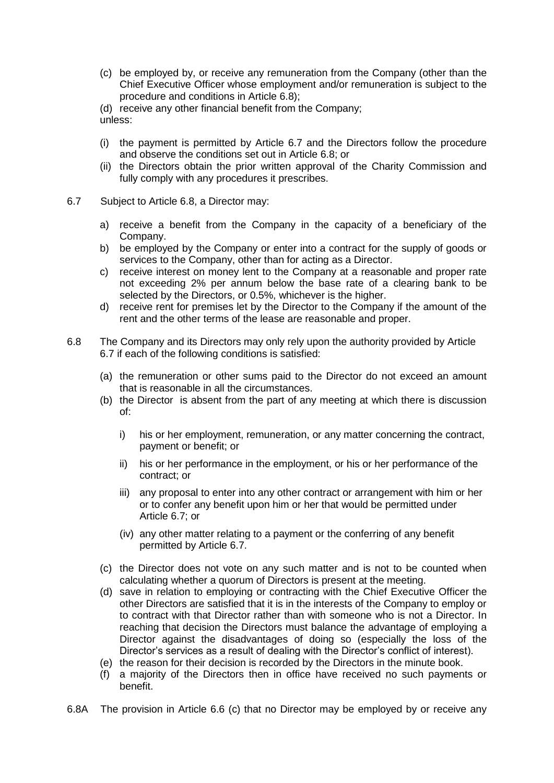(c) be employed by, or receive any remuneration from the Company (other than the Chief Executive Officer whose employment and/or remuneration is subject to the procedure and conditions in Article 6.8);

(d) receive any other financial benefit from the Company; unless:

- (i) the payment is permitted by Article 6.7 and the Directors follow the procedure and observe the conditions set out in Article 6.8; or
- (ii) the Directors obtain the prior written approval of the Charity Commission and fully comply with any procedures it prescribes.
- 6.7 Subject to Article 6.8, a Director may:
	- a) receive a benefit from the Company in the capacity of a beneficiary of the Company.
	- b) be employed by the Company or enter into a contract for the supply of goods or services to the Company, other than for acting as a Director.
	- c) receive interest on money lent to the Company at a reasonable and proper rate not exceeding 2% per annum below the base rate of a clearing bank to be selected by the Directors, or 0.5%, whichever is the higher.
	- d) receive rent for premises let by the Director to the Company if the amount of the rent and the other terms of the lease are reasonable and proper.
- 6.8 The Company and its Directors may only rely upon the authority provided by Article 6.7 if each of the following conditions is satisfied:
	- (a) the remuneration or other sums paid to the Director do not exceed an amount that is reasonable in all the circumstances.
	- (b) the Director is absent from the part of any meeting at which there is discussion of:
		- i) his or her employment, remuneration, or any matter concerning the contract, payment or benefit; or
		- ii) his or her performance in the employment, or his or her performance of the contract; or
		- iii) any proposal to enter into any other contract or arrangement with him or her or to confer any benefit upon him or her that would be permitted under Article 6.7; or
		- (iv) any other matter relating to a payment or the conferring of any benefit permitted by Article 6.7.
	- (c) the Director does not vote on any such matter and is not to be counted when calculating whether a quorum of Directors is present at the meeting.
	- (d) save in relation to employing or contracting with the Chief Executive Officer the other Directors are satisfied that it is in the interests of the Company to employ or to contract with that Director rather than with someone who is not a Director. In reaching that decision the Directors must balance the advantage of employing a Director against the disadvantages of doing so (especially the loss of the Director's services as a result of dealing with the Director's conflict of interest).
	- (e) the reason for their decision is recorded by the Directors in the minute book.
	- (f) a majority of the Directors then in office have received no such payments or benefit.
- 6.8A The provision in Article 6.6 (c) that no Director may be employed by or receive any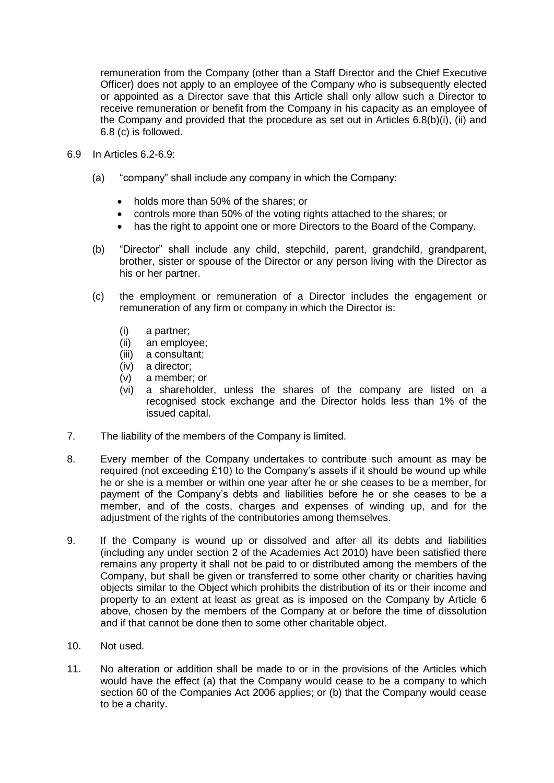remuneration from the Company (other than a Staff Director and the Chief Executive Officer) does not apply to an employee of the Company who is subsequently elected or appointed as a Director save that this Article shall only allow such a Director to receive remuneration or benefit from the Company in his capacity as an employee of the Company and provided that the procedure as set out in Articles 6.8(b)(i), (ii) and 6.8 (c) is followed.

- 6.9 In Articles 6.2-6.9:
	- (a) "company" shall include any company in which the Company:
		- holds more than 50% of the shares; or
		- controls more than 50% of the voting rights attached to the shares; or
		- has the right to appoint one or more Directors to the Board of the Company.
	- (b) "Director" shall include any child, stepchild, parent, grandchild, grandparent, brother, sister or spouse of the Director or any person living with the Director as his or her partner.
	- (c) the employment or remuneration of a Director includes the engagement or remuneration of any firm or company in which the Director is:
		- (i) a partner;
		- (ii) an employee;
		- (iii) a consultant;
		- (iv) a director;
		- (v) a member; or
		- (vi) a shareholder, unless the shares of the company are listed on a recognised stock exchange and the Director holds less than 1% of the issued capital.
- 7. The liability of the members of the Company is limited.
- 8. Every member of the Company undertakes to contribute such amount as may be required (not exceeding £10) to the Company's assets if it should be wound up while he or she is a member or within one year after he or she ceases to be a member, for payment of the Company's debts and liabilities before he or she ceases to be a member, and of the costs, charges and expenses of winding up, and for the adjustment of the rights of the contributories among themselves.
- 9. If the Company is wound up or dissolved and after all its debts and liabilities (including any under section 2 of the Academies Act 2010) have been satisfied there remains any property it shall not be paid to or distributed among the members of the Company, but shall be given or transferred to some other charity or charities having objects similar to the Object which prohibits the distribution of its or their income and property to an extent at least as great as is imposed on the Company by Article 6 above, chosen by the members of the Company at or before the time of dissolution and if that cannot be done then to some other charitable object.
- 10. Not used.
- 11. No alteration or addition shall be made to or in the provisions of the Articles which would have the effect (a) that the Company would cease to be a company to which section 60 of the Companies Act 2006 applies; or (b) that the Company would cease to be a charity.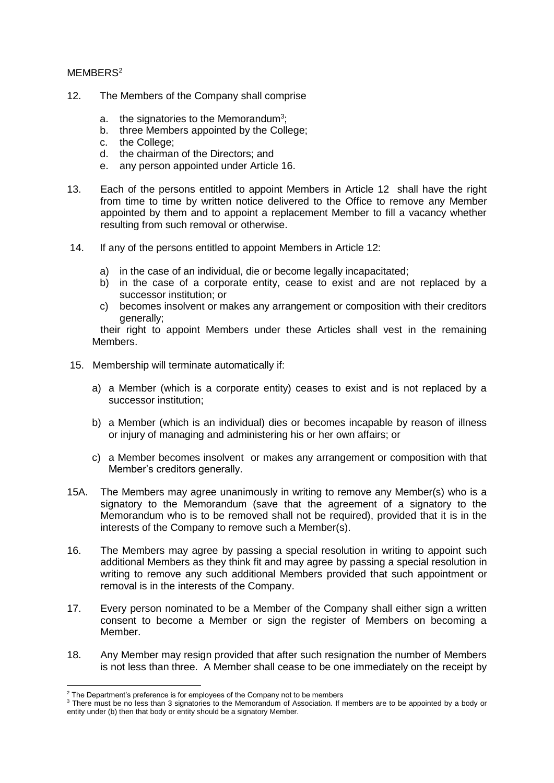## MEMBERS<sup>2</sup>

- 12. The Members of the Company shall comprise
	- a. the signatories to the Memorandum<sup>3</sup>;
	- b. three Members appointed by the College;
	- c. the College;
	- d. the chairman of the Directors; and
	- e. any person appointed under Article 16.
- 13. Each of the persons entitled to appoint Members in Article 12 shall have the right from time to time by written notice delivered to the Office to remove any Member appointed by them and to appoint a replacement Member to fill a vacancy whether resulting from such removal or otherwise.
- 14. If any of the persons entitled to appoint Members in Article 12:
	- a) in the case of an individual, die or become legally incapacitated;
	- b) in the case of a corporate entity, cease to exist and are not replaced by a successor institution; or
	- c) becomes insolvent or makes any arrangement or composition with their creditors generally;

their right to appoint Members under these Articles shall vest in the remaining Members.

- 15. Membership will terminate automatically if:
	- a) a Member (which is a corporate entity) ceases to exist and is not replaced by a successor institution;
	- b) a Member (which is an individual) dies or becomes incapable by reason of illness or injury of managing and administering his or her own affairs; or
	- c) a Member becomes insolvent or makes any arrangement or composition with that Member's creditors generally.
- 15A. The Members may agree unanimously in writing to remove any Member(s) who is a signatory to the Memorandum (save that the agreement of a signatory to the Memorandum who is to be removed shall not be required), provided that it is in the interests of the Company to remove such a Member(s).
- 16. The Members may agree by passing a special resolution in writing to appoint such additional Members as they think fit and may agree by passing a special resolution in writing to remove any such additional Members provided that such appointment or removal is in the interests of the Company.
- 17. Every person nominated to be a Member of the Company shall either sign a written consent to become a Member or sign the register of Members on becoming a Member.
- 18. Any Member may resign provided that after such resignation the number of Members is not less than three. A Member shall cease to be one immediately on the receipt by

-

 $2$  The Department's preference is for employees of the Company not to be members

<sup>3</sup> There must be no less than 3 signatories to the Memorandum of Association. If members are to be appointed by a body or entity under (b) then that body or entity should be a signatory Member.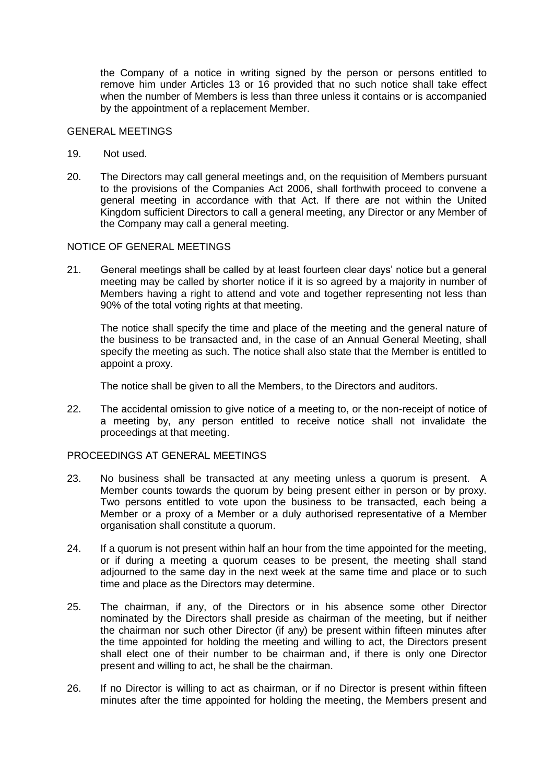the Company of a notice in writing signed by the person or persons entitled to remove him under Articles 13 or 16 provided that no such notice shall take effect when the number of Members is less than three unless it contains or is accompanied by the appointment of a replacement Member.

#### GENERAL MEETINGS

- 19. Not used.
- 20. The Directors may call general meetings and, on the requisition of Members pursuant to the provisions of the Companies Act 2006, shall forthwith proceed to convene a general meeting in accordance with that Act. If there are not within the United Kingdom sufficient Directors to call a general meeting, any Director or any Member of the Company may call a general meeting.

#### NOTICE OF GENERAL MEETINGS

21. General meetings shall be called by at least fourteen clear days' notice but a general meeting may be called by shorter notice if it is so agreed by a majority in number of Members having a right to attend and vote and together representing not less than 90% of the total voting rights at that meeting.

The notice shall specify the time and place of the meeting and the general nature of the business to be transacted and, in the case of an Annual General Meeting, shall specify the meeting as such. The notice shall also state that the Member is entitled to appoint a proxy.

The notice shall be given to all the Members, to the Directors and auditors.

22. The accidental omission to give notice of a meeting to, or the non-receipt of notice of a meeting by, any person entitled to receive notice shall not invalidate the proceedings at that meeting.

## PROCEEDINGS AT GENERAL MEETINGS

- 23. No business shall be transacted at any meeting unless a quorum is present. A Member counts towards the quorum by being present either in person or by proxy. Two persons entitled to vote upon the business to be transacted, each being a Member or a proxy of a Member or a duly authorised representative of a Member organisation shall constitute a quorum.
- 24. If a quorum is not present within half an hour from the time appointed for the meeting, or if during a meeting a quorum ceases to be present, the meeting shall stand adjourned to the same day in the next week at the same time and place or to such time and place as the Directors may determine.
- 25. The chairman, if any, of the Directors or in his absence some other Director nominated by the Directors shall preside as chairman of the meeting, but if neither the chairman nor such other Director (if any) be present within fifteen minutes after the time appointed for holding the meeting and willing to act, the Directors present shall elect one of their number to be chairman and, if there is only one Director present and willing to act, he shall be the chairman.
- 26. If no Director is willing to act as chairman, or if no Director is present within fifteen minutes after the time appointed for holding the meeting, the Members present and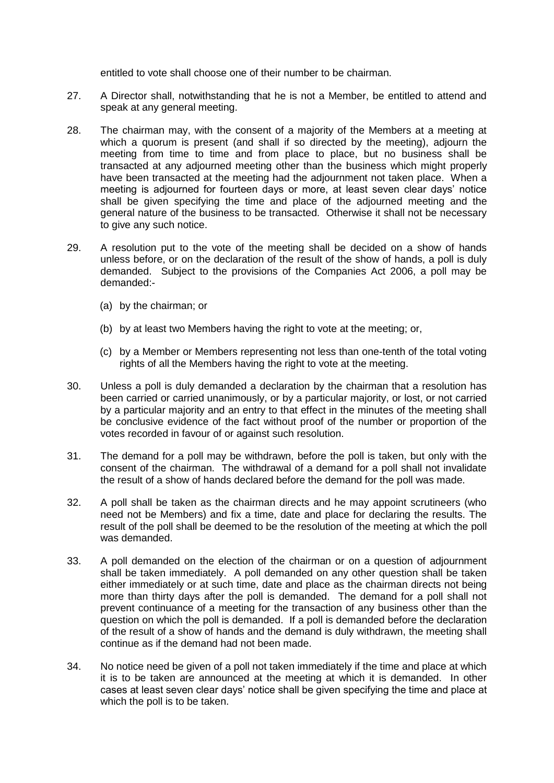entitled to vote shall choose one of their number to be chairman.

- 27. A Director shall, notwithstanding that he is not a Member, be entitled to attend and speak at any general meeting.
- 28. The chairman may, with the consent of a majority of the Members at a meeting at which a quorum is present (and shall if so directed by the meeting), adjourn the meeting from time to time and from place to place, but no business shall be transacted at any adjourned meeting other than the business which might properly have been transacted at the meeting had the adjournment not taken place. When a meeting is adjourned for fourteen days or more, at least seven clear days' notice shall be given specifying the time and place of the adjourned meeting and the general nature of the business to be transacted. Otherwise it shall not be necessary to give any such notice.
- 29. A resolution put to the vote of the meeting shall be decided on a show of hands unless before, or on the declaration of the result of the show of hands, a poll is duly demanded. Subject to the provisions of the Companies Act 2006, a poll may be demanded:-
	- (a) by the chairman; or
	- (b) by at least two Members having the right to vote at the meeting; or,
	- (c) by a Member or Members representing not less than one-tenth of the total voting rights of all the Members having the right to vote at the meeting.
- 30. Unless a poll is duly demanded a declaration by the chairman that a resolution has been carried or carried unanimously, or by a particular majority, or lost, or not carried by a particular majority and an entry to that effect in the minutes of the meeting shall be conclusive evidence of the fact without proof of the number or proportion of the votes recorded in favour of or against such resolution.
- 31. The demand for a poll may be withdrawn, before the poll is taken, but only with the consent of the chairman. The withdrawal of a demand for a poll shall not invalidate the result of a show of hands declared before the demand for the poll was made.
- 32. A poll shall be taken as the chairman directs and he may appoint scrutineers (who need not be Members) and fix a time, date and place for declaring the results. The result of the poll shall be deemed to be the resolution of the meeting at which the poll was demanded.
- 33. A poll demanded on the election of the chairman or on a question of adjournment shall be taken immediately. A poll demanded on any other question shall be taken either immediately or at such time, date and place as the chairman directs not being more than thirty days after the poll is demanded. The demand for a poll shall not prevent continuance of a meeting for the transaction of any business other than the question on which the poll is demanded. If a poll is demanded before the declaration of the result of a show of hands and the demand is duly withdrawn, the meeting shall continue as if the demand had not been made.
- 34. No notice need be given of a poll not taken immediately if the time and place at which it is to be taken are announced at the meeting at which it is demanded. In other cases at least seven clear days' notice shall be given specifying the time and place at which the poll is to be taken.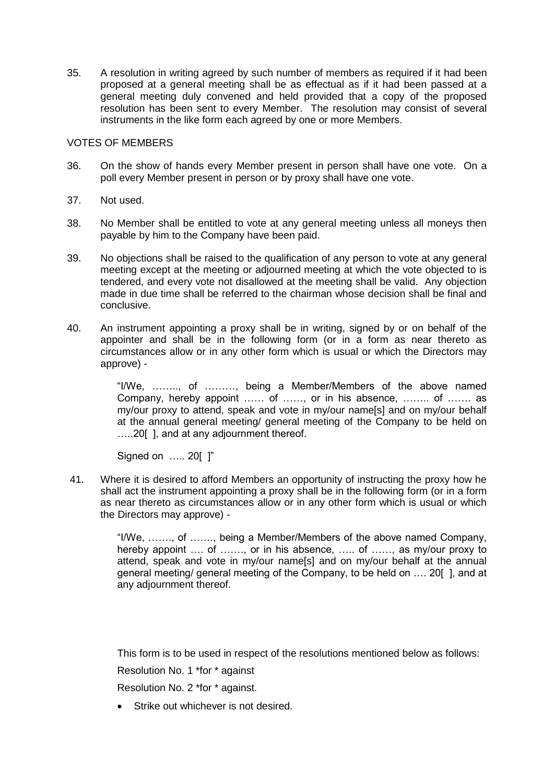35. A resolution in writing agreed by such number of members as required if it had been proposed at a general meeting shall be as effectual as if it had been passed at a general meeting duly convened and held provided that a copy of the proposed resolution has been sent to every Member. The resolution may consist of several instruments in the like form each agreed by one or more Members.

## VOTES OF MEMBERS

- 36. On the show of hands every Member present in person shall have one vote. On a poll every Member present in person or by proxy shall have one vote.
- 37. Not used.
- 38. No Member shall be entitled to vote at any general meeting unless all moneys then payable by him to the Company have been paid.
- 39. No objections shall be raised to the qualification of any person to vote at any general meeting except at the meeting or adjourned meeting at which the vote objected to is tendered, and every vote not disallowed at the meeting shall be valid. Any objection made in due time shall be referred to the chairman whose decision shall be final and conclusive.
- 40. An instrument appointing a proxy shall be in writing, signed by or on behalf of the appointer and shall be in the following form (or in a form as near thereto as circumstances allow or in any other form which is usual or which the Directors may approve) -

"I/We, …….., of ………, being a Member/Members of the above named Company, hereby appoint …… of ……, or in his absence, …….. of ……. as my/our proxy to attend, speak and vote in my/our name[s] and on my/our behalf at the annual general meeting/ general meeting of the Company to be held on …..20[ ], and at any adjournment thereof.

Signed on ….. 20[ ]"

41. Where it is desired to afford Members an opportunity of instructing the proxy how he shall act the instrument appointing a proxy shall be in the following form (or in a form as near thereto as circumstances allow or in any other form which is usual or which the Directors may approve) -

> "I/We, ……., of ……., being a Member/Members of the above named Company, hereby appoint .... of ......., or in his absence, ..... of ......, as my/our proxy to attend, speak and vote in my/our name[s] and on my/our behalf at the annual general meeting/ general meeting of the Company, to be held on …. 20[ ], and at any adjournment thereof.

This form is to be used in respect of the resolutions mentioned below as follows:

Resolution No. 1 \*for \* against

Resolution No. 2 \*for \* against.

Strike out whichever is not desired.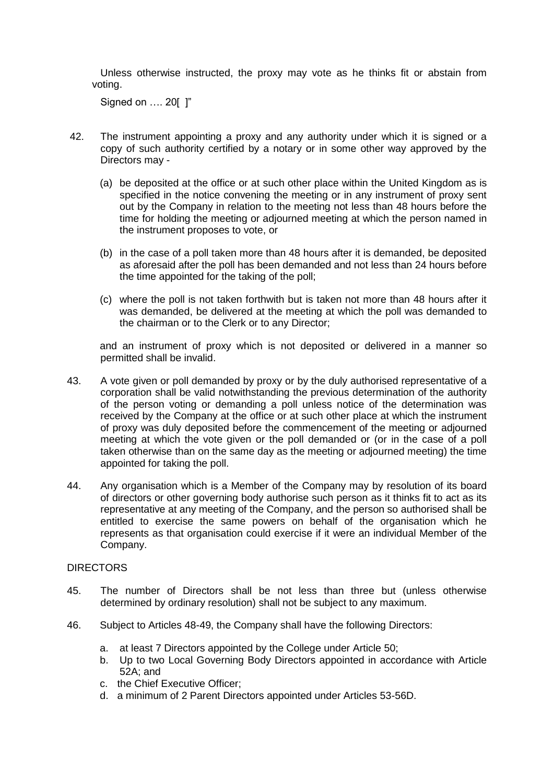Unless otherwise instructed, the proxy may vote as he thinks fit or abstain from voting.

Signed on ..., 20[ 1"

- 42. The instrument appointing a proxy and any authority under which it is signed or a copy of such authority certified by a notary or in some other way approved by the Directors may -
	- (a) be deposited at the office or at such other place within the United Kingdom as is specified in the notice convening the meeting or in any instrument of proxy sent out by the Company in relation to the meeting not less than 48 hours before the time for holding the meeting or adjourned meeting at which the person named in the instrument proposes to vote, or
	- (b) in the case of a poll taken more than 48 hours after it is demanded, be deposited as aforesaid after the poll has been demanded and not less than 24 hours before the time appointed for the taking of the poll;
	- (c) where the poll is not taken forthwith but is taken not more than 48 hours after it was demanded, be delivered at the meeting at which the poll was demanded to the chairman or to the Clerk or to any Director;

and an instrument of proxy which is not deposited or delivered in a manner so permitted shall be invalid.

- 43. A vote given or poll demanded by proxy or by the duly authorised representative of a corporation shall be valid notwithstanding the previous determination of the authority of the person voting or demanding a poll unless notice of the determination was received by the Company at the office or at such other place at which the instrument of proxy was duly deposited before the commencement of the meeting or adjourned meeting at which the vote given or the poll demanded or (or in the case of a poll taken otherwise than on the same day as the meeting or adjourned meeting) the time appointed for taking the poll.
- 44. Any organisation which is a Member of the Company may by resolution of its board of directors or other governing body authorise such person as it thinks fit to act as its representative at any meeting of the Company, and the person so authorised shall be entitled to exercise the same powers on behalf of the organisation which he represents as that organisation could exercise if it were an individual Member of the Company.

### DIRECTORS

- 45. The number of Directors shall be not less than three but (unless otherwise determined by ordinary resolution) shall not be subject to any maximum.
- 46. Subject to Articles 48-49, the Company shall have the following Directors:
	- a. at least 7 Directors appointed by the College under Article 50;
	- b. Up to two Local Governing Body Directors appointed in accordance with Article 52A; and
	- c. the Chief Executive Officer;
	- d. a minimum of 2 Parent Directors appointed under Articles 53-56D.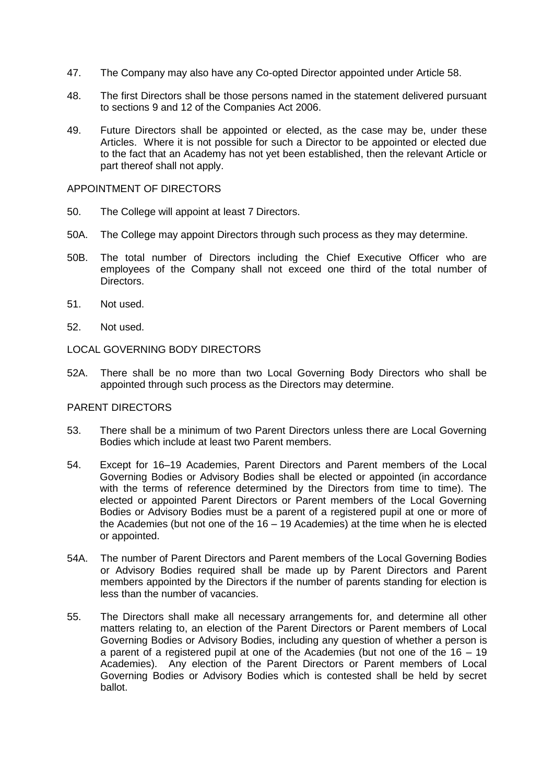- 47. The Company may also have any Co-opted Director appointed under Article 58.
- 48. The first Directors shall be those persons named in the statement delivered pursuant to sections 9 and 12 of the Companies Act 2006.
- 49. Future Directors shall be appointed or elected, as the case may be, under these Articles. Where it is not possible for such a Director to be appointed or elected due to the fact that an Academy has not yet been established, then the relevant Article or part thereof shall not apply.

#### APPOINTMENT OF DIRECTORS

- 50. The College will appoint at least 7 Directors.
- 50A. The College may appoint Directors through such process as they may determine.
- 50B. The total number of Directors including the Chief Executive Officer who are employees of the Company shall not exceed one third of the total number of Directors.
- 51. Not used.
- 52. Not used.

## LOCAL GOVERNING BODY DIRECTORS

52A. There shall be no more than two Local Governing Body Directors who shall be appointed through such process as the Directors may determine.

#### PARENT DIRECTORS

- 53. There shall be a minimum of two Parent Directors unless there are Local Governing Bodies which include at least two Parent members.
- 54. Except for 16–19 Academies, Parent Directors and Parent members of the Local Governing Bodies or Advisory Bodies shall be elected or appointed (in accordance with the terms of reference determined by the Directors from time to time). The elected or appointed Parent Directors or Parent members of the Local Governing Bodies or Advisory Bodies must be a parent of a registered pupil at one or more of the Academies (but not one of the 16 – 19 Academies) at the time when he is elected or appointed.
- 54A. The number of Parent Directors and Parent members of the Local Governing Bodies or Advisory Bodies required shall be made up by Parent Directors and Parent members appointed by the Directors if the number of parents standing for election is less than the number of vacancies.
- 55. The Directors shall make all necessary arrangements for, and determine all other matters relating to, an election of the Parent Directors or Parent members of Local Governing Bodies or Advisory Bodies, including any question of whether a person is a parent of a registered pupil at one of the Academies (but not one of the 16 – 19 Academies). Any election of the Parent Directors or Parent members of Local Governing Bodies or Advisory Bodies which is contested shall be held by secret ballot.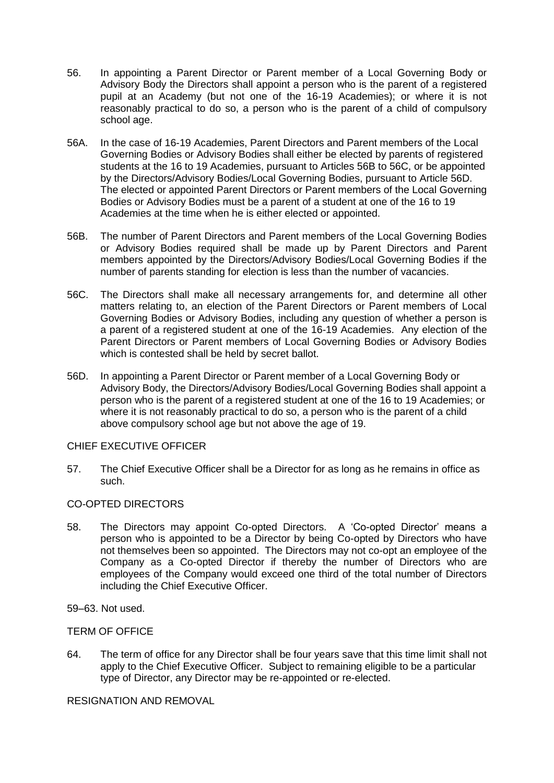- 56. In appointing a Parent Director or Parent member of a Local Governing Body or Advisory Body the Directors shall appoint a person who is the parent of a registered pupil at an Academy (but not one of the 16-19 Academies); or where it is not reasonably practical to do so, a person who is the parent of a child of compulsory school age.
- 56A. In the case of 16-19 Academies, Parent Directors and Parent members of the Local Governing Bodies or Advisory Bodies shall either be elected by parents of registered students at the 16 to 19 Academies, pursuant to Articles 56B to 56C, or be appointed by the Directors/Advisory Bodies/Local Governing Bodies, pursuant to Article 56D. The elected or appointed Parent Directors or Parent members of the Local Governing Bodies or Advisory Bodies must be a parent of a student at one of the 16 to 19 Academies at the time when he is either elected or appointed.
- 56B. The number of Parent Directors and Parent members of the Local Governing Bodies or Advisory Bodies required shall be made up by Parent Directors and Parent members appointed by the Directors/Advisory Bodies/Local Governing Bodies if the number of parents standing for election is less than the number of vacancies.
- 56C. The Directors shall make all necessary arrangements for, and determine all other matters relating to, an election of the Parent Directors or Parent members of Local Governing Bodies or Advisory Bodies, including any question of whether a person is a parent of a registered student at one of the 16-19 Academies. Any election of the Parent Directors or Parent members of Local Governing Bodies or Advisory Bodies which is contested shall be held by secret ballot.
- 56D. In appointing a Parent Director or Parent member of a Local Governing Body or Advisory Body, the Directors/Advisory Bodies/Local Governing Bodies shall appoint a person who is the parent of a registered student at one of the 16 to 19 Academies; or where it is not reasonably practical to do so, a person who is the parent of a child above compulsory school age but not above the age of 19.

## CHIEF EXECUTIVE OFFICER

57. The Chief Executive Officer shall be a Director for as long as he remains in office as such.

## CO-OPTED DIRECTORS

58. The Directors may appoint Co-opted Directors. A 'Co-opted Director' means a person who is appointed to be a Director by being Co-opted by Directors who have not themselves been so appointed. The Directors may not co-opt an employee of the Company as a Co-opted Director if thereby the number of Directors who are employees of the Company would exceed one third of the total number of Directors including the Chief Executive Officer.

59–63. Not used.

#### TERM OF OFFICE

64. The term of office for any Director shall be four years save that this time limit shall not apply to the Chief Executive Officer. Subject to remaining eligible to be a particular type of Director, any Director may be re-appointed or re-elected.

## RESIGNATION AND REMOVAL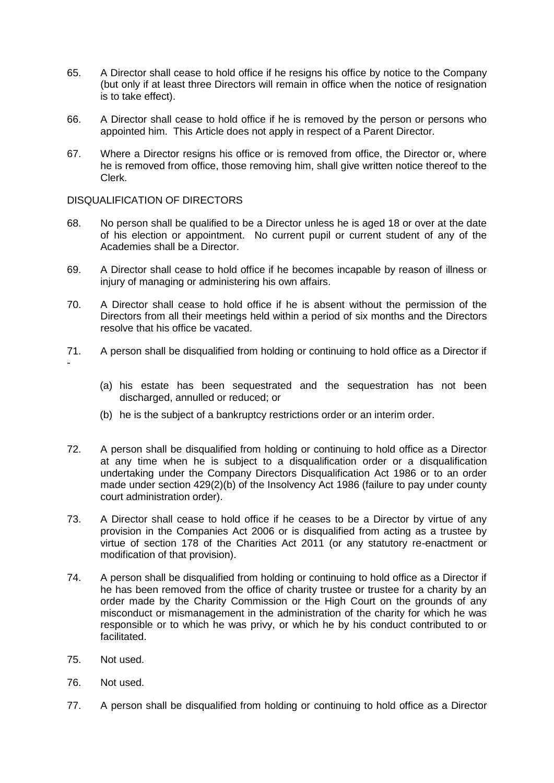- 65. A Director shall cease to hold office if he resigns his office by notice to the Company (but only if at least three Directors will remain in office when the notice of resignation is to take effect).
- 66. A Director shall cease to hold office if he is removed by the person or persons who appointed him. This Article does not apply in respect of a Parent Director.
- 67. Where a Director resigns his office or is removed from office, the Director or, where he is removed from office, those removing him, shall give written notice thereof to the Clerk.

## DISQUALIFICATION OF DIRECTORS

- 68. No person shall be qualified to be a Director unless he is aged 18 or over at the date of his election or appointment. No current pupil or current student of any of the Academies shall be a Director.
- 69. A Director shall cease to hold office if he becomes incapable by reason of illness or injury of managing or administering his own affairs.
- 70. A Director shall cease to hold office if he is absent without the permission of the Directors from all their meetings held within a period of six months and the Directors resolve that his office be vacated.
- 71. A person shall be disqualified from holding or continuing to hold office as a Director if -
	- (a) his estate has been sequestrated and the sequestration has not been discharged, annulled or reduced; or
	- (b) he is the subject of a bankruptcy restrictions order or an interim order.
- 72. A person shall be disqualified from holding or continuing to hold office as a Director at any time when he is subject to a disqualification order or a disqualification undertaking under the Company Directors Disqualification Act 1986 or to an order made under section 429(2)(b) of the Insolvency Act 1986 (failure to pay under county court administration order).
- 73. A Director shall cease to hold office if he ceases to be a Director by virtue of any provision in the Companies Act 2006 or is disqualified from acting as a trustee by virtue of section 178 of the Charities Act 2011 (or any statutory re-enactment or modification of that provision).
- 74. A person shall be disqualified from holding or continuing to hold office as a Director if he has been removed from the office of charity trustee or trustee for a charity by an order made by the Charity Commission or the High Court on the grounds of any misconduct or mismanagement in the administration of the charity for which he was responsible or to which he was privy, or which he by his conduct contributed to or facilitated.
- 75. Not used.
- 76. Not used.
- 77. A person shall be disqualified from holding or continuing to hold office as a Director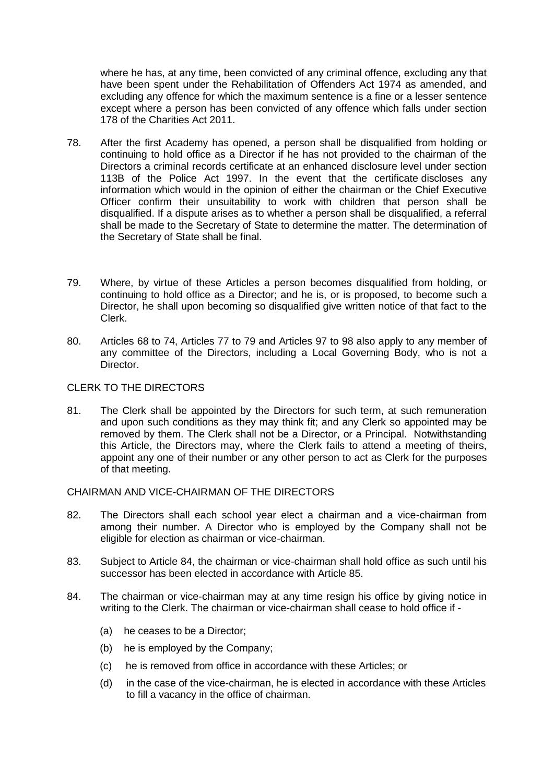where he has, at any time, been convicted of any criminal offence, excluding any that have been spent under the Rehabilitation of Offenders Act 1974 as amended, and excluding any offence for which the maximum sentence is a fine or a lesser sentence except where a person has been convicted of any offence which falls under section 178 of the Charities Act 2011.

- 78. After the first Academy has opened, a person shall be disqualified from holding or continuing to hold office as a Director if he has not provided to the chairman of the Directors a criminal records certificate at an enhanced disclosure level under section 113B of the Police Act 1997. In the event that the certificate discloses any information which would in the opinion of either the chairman or the Chief Executive Officer confirm their unsuitability to work with children that person shall be disqualified. If a dispute arises as to whether a person shall be disqualified, a referral shall be made to the Secretary of State to determine the matter. The determination of the Secretary of State shall be final.
- 79. Where, by virtue of these Articles a person becomes disqualified from holding, or continuing to hold office as a Director; and he is, or is proposed, to become such a Director, he shall upon becoming so disqualified give written notice of that fact to the Clerk.
- 80. Articles 68 to 74, Articles 77 to 79 and Articles 97 to 98 also apply to any member of any committee of the Directors, including a Local Governing Body, who is not a Director.

## CLERK TO THE DIRECTORS

81. The Clerk shall be appointed by the Directors for such term, at such remuneration and upon such conditions as they may think fit; and any Clerk so appointed may be removed by them. The Clerk shall not be a Director, or a Principal. Notwithstanding this Article, the Directors may, where the Clerk fails to attend a meeting of theirs, appoint any one of their number or any other person to act as Clerk for the purposes of that meeting.

#### CHAIRMAN AND VICE-CHAIRMAN OF THE DIRECTORS

- 82. The Directors shall each school year elect a chairman and a vice-chairman from among their number. A Director who is employed by the Company shall not be eligible for election as chairman or vice-chairman.
- 83. Subject to Article 84, the chairman or vice-chairman shall hold office as such until his successor has been elected in accordance with Article 85.
- 84. The chairman or vice-chairman may at any time resign his office by giving notice in writing to the Clerk. The chairman or vice-chairman shall cease to hold office if -
	- (a) he ceases to be a Director;
	- (b) he is employed by the Company;
	- (c) he is removed from office in accordance with these Articles; or
	- (d) in the case of the vice-chairman, he is elected in accordance with these Articles to fill a vacancy in the office of chairman.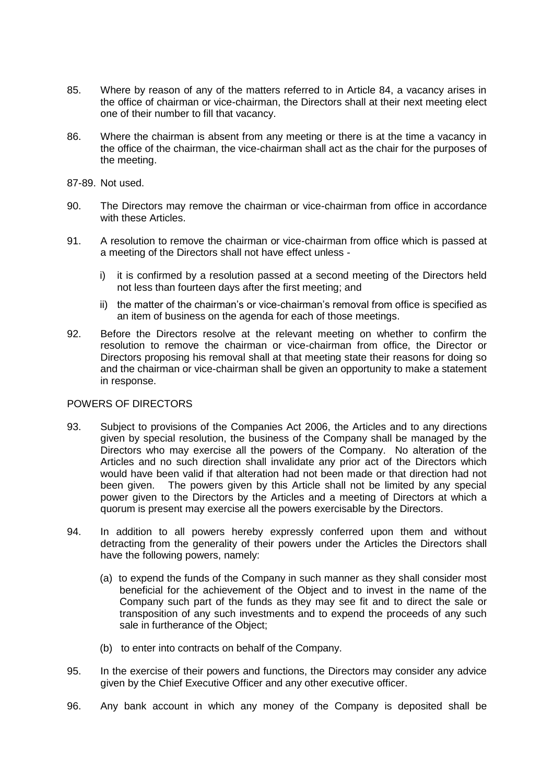- 85. Where by reason of any of the matters referred to in Article 84, a vacancy arises in the office of chairman or vice-chairman, the Directors shall at their next meeting elect one of their number to fill that vacancy.
- 86. Where the chairman is absent from any meeting or there is at the time a vacancy in the office of the chairman, the vice-chairman shall act as the chair for the purposes of the meeting.
- 87-89. Not used.
- 90. The Directors may remove the chairman or vice-chairman from office in accordance with these Articles.
- 91. A resolution to remove the chairman or vice-chairman from office which is passed at a meeting of the Directors shall not have effect unless
	- i) it is confirmed by a resolution passed at a second meeting of the Directors held not less than fourteen days after the first meeting; and
	- ii) the matter of the chairman's or vice-chairman's removal from office is specified as an item of business on the agenda for each of those meetings.
- 92. Before the Directors resolve at the relevant meeting on whether to confirm the resolution to remove the chairman or vice-chairman from office, the Director or Directors proposing his removal shall at that meeting state their reasons for doing so and the chairman or vice-chairman shall be given an opportunity to make a statement in response.

## POWERS OF DIRECTORS

- 93. Subject to provisions of the Companies Act 2006, the Articles and to any directions given by special resolution, the business of the Company shall be managed by the Directors who may exercise all the powers of the Company. No alteration of the Articles and no such direction shall invalidate any prior act of the Directors which would have been valid if that alteration had not been made or that direction had not been given. The powers given by this Article shall not be limited by any special power given to the Directors by the Articles and a meeting of Directors at which a quorum is present may exercise all the powers exercisable by the Directors.
- 94. In addition to all powers hereby expressly conferred upon them and without detracting from the generality of their powers under the Articles the Directors shall have the following powers, namely:
	- (a) to expend the funds of the Company in such manner as they shall consider most beneficial for the achievement of the Object and to invest in the name of the Company such part of the funds as they may see fit and to direct the sale or transposition of any such investments and to expend the proceeds of any such sale in furtherance of the Object;
	- (b) to enter into contracts on behalf of the Company.
- 95. In the exercise of their powers and functions, the Directors may consider any advice given by the Chief Executive Officer and any other executive officer.
- 96. Any bank account in which any money of the Company is deposited shall be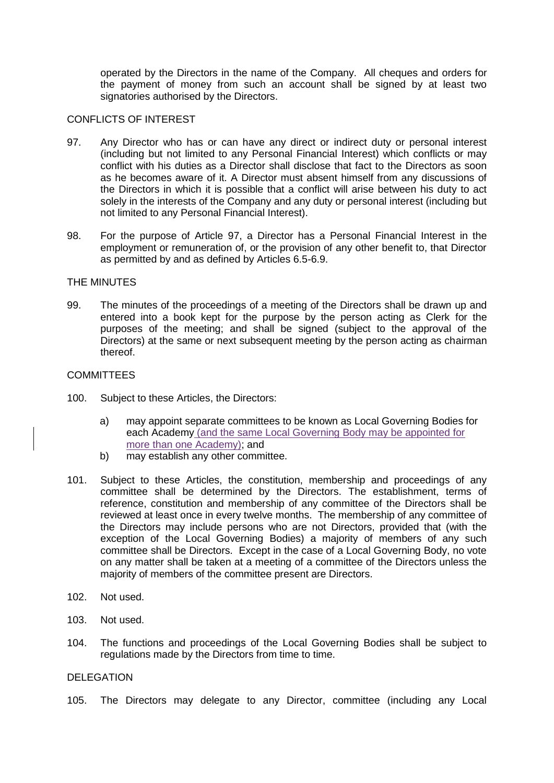operated by the Directors in the name of the Company. All cheques and orders for the payment of money from such an account shall be signed by at least two signatories authorised by the Directors.

## CONFLICTS OF INTEREST

- 97. Any Director who has or can have any direct or indirect duty or personal interest (including but not limited to any Personal Financial Interest) which conflicts or may conflict with his duties as a Director shall disclose that fact to the Directors as soon as he becomes aware of it. A Director must absent himself from any discussions of the Directors in which it is possible that a conflict will arise between his duty to act solely in the interests of the Company and any duty or personal interest (including but not limited to any Personal Financial Interest).
- 98. For the purpose of Article 97, a Director has a Personal Financial Interest in the employment or remuneration of, or the provision of any other benefit to, that Director as permitted by and as defined by Articles 6.5-6.9.

## THE MINUTES

99. The minutes of the proceedings of a meeting of the Directors shall be drawn up and entered into a book kept for the purpose by the person acting as Clerk for the purposes of the meeting; and shall be signed (subject to the approval of the Directors) at the same or next subsequent meeting by the person acting as chairman thereof.

## **COMMITTEES**

- 100. Subject to these Articles, the Directors:
	- a) may appoint separate committees to be known as Local Governing Bodies for each Academy (and the same Local Governing Body may be appointed for more than one Academy); and
	- b) may establish any other committee.
- 101. Subject to these Articles, the constitution, membership and proceedings of any committee shall be determined by the Directors. The establishment, terms of reference, constitution and membership of any committee of the Directors shall be reviewed at least once in every twelve months. The membership of any committee of the Directors may include persons who are not Directors, provided that (with the exception of the Local Governing Bodies) a majority of members of any such committee shall be Directors. Except in the case of a Local Governing Body, no vote on any matter shall be taken at a meeting of a committee of the Directors unless the majority of members of the committee present are Directors.
- 102. Not used.
- 103. Not used.
- 104. The functions and proceedings of the Local Governing Bodies shall be subject to regulations made by the Directors from time to time.

#### DELEGATION

105. The Directors may delegate to any Director, committee (including any Local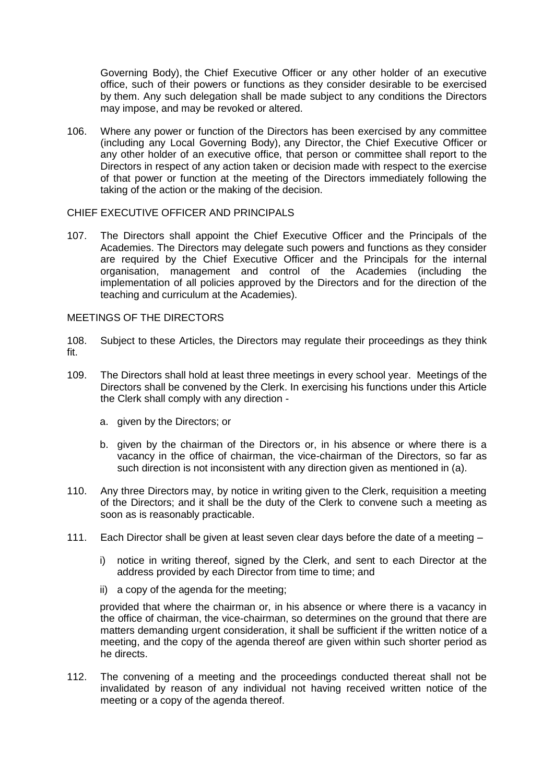Governing Body), the Chief Executive Officer or any other holder of an executive office, such of their powers or functions as they consider desirable to be exercised by them. Any such delegation shall be made subject to any conditions the Directors may impose, and may be revoked or altered.

106. Where any power or function of the Directors has been exercised by any committee (including any Local Governing Body), any Director, the Chief Executive Officer or any other holder of an executive office, that person or committee shall report to the Directors in respect of any action taken or decision made with respect to the exercise of that power or function at the meeting of the Directors immediately following the taking of the action or the making of the decision.

## CHIEF EXECUTIVE OFFICER AND PRINCIPALS

107. The Directors shall appoint the Chief Executive Officer and the Principals of the Academies. The Directors may delegate such powers and functions as they consider are required by the Chief Executive Officer and the Principals for the internal organisation, management and control of the Academies (including the implementation of all policies approved by the Directors and for the direction of the teaching and curriculum at the Academies).

## MEETINGS OF THE DIRECTORS

- 108. Subject to these Articles, the Directors may regulate their proceedings as they think fit.
- 109. The Directors shall hold at least three meetings in every school year. Meetings of the Directors shall be convened by the Clerk. In exercising his functions under this Article the Clerk shall comply with any direction
	- a. given by the Directors; or
	- b. given by the chairman of the Directors or, in his absence or where there is a vacancy in the office of chairman, the vice-chairman of the Directors, so far as such direction is not inconsistent with any direction given as mentioned in (a).
- 110. Any three Directors may, by notice in writing given to the Clerk, requisition a meeting of the Directors; and it shall be the duty of the Clerk to convene such a meeting as soon as is reasonably practicable.
- 111. Each Director shall be given at least seven clear days before the date of a meeting
	- i) notice in writing thereof, signed by the Clerk, and sent to each Director at the address provided by each Director from time to time; and
	- ii) a copy of the agenda for the meeting;

provided that where the chairman or, in his absence or where there is a vacancy in the office of chairman, the vice-chairman, so determines on the ground that there are matters demanding urgent consideration, it shall be sufficient if the written notice of a meeting, and the copy of the agenda thereof are given within such shorter period as he directs.

112. The convening of a meeting and the proceedings conducted thereat shall not be invalidated by reason of any individual not having received written notice of the meeting or a copy of the agenda thereof.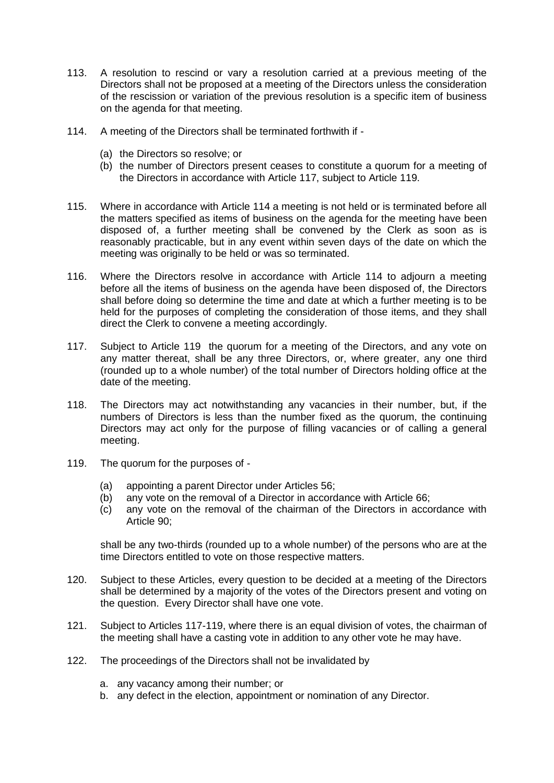- 113. A resolution to rescind or vary a resolution carried at a previous meeting of the Directors shall not be proposed at a meeting of the Directors unless the consideration of the rescission or variation of the previous resolution is a specific item of business on the agenda for that meeting.
- 114. A meeting of the Directors shall be terminated forthwith if
	- (a) the Directors so resolve; or
	- (b) the number of Directors present ceases to constitute a quorum for a meeting of the Directors in accordance with Article 117, subject to Article 119.
- 115. Where in accordance with Article 114 a meeting is not held or is terminated before all the matters specified as items of business on the agenda for the meeting have been disposed of, a further meeting shall be convened by the Clerk as soon as is reasonably practicable, but in any event within seven days of the date on which the meeting was originally to be held or was so terminated.
- 116. Where the Directors resolve in accordance with Article 114 to adjourn a meeting before all the items of business on the agenda have been disposed of, the Directors shall before doing so determine the time and date at which a further meeting is to be held for the purposes of completing the consideration of those items, and they shall direct the Clerk to convene a meeting accordingly.
- 117. Subject to Article 119 the quorum for a meeting of the Directors, and any vote on any matter thereat, shall be any three Directors, or, where greater, any one third (rounded up to a whole number) of the total number of Directors holding office at the date of the meeting.
- 118. The Directors may act notwithstanding any vacancies in their number, but, if the numbers of Directors is less than the number fixed as the quorum, the continuing Directors may act only for the purpose of filling vacancies or of calling a general meeting.
- 119. The quorum for the purposes of
	- (a) appointing a parent Director under Articles 56;
	- (b) any vote on the removal of a Director in accordance with Article 66;
	- (c) any vote on the removal of the chairman of the Directors in accordance with Article 90;

shall be any two-thirds (rounded up to a whole number) of the persons who are at the time Directors entitled to vote on those respective matters.

- 120. Subject to these Articles, every question to be decided at a meeting of the Directors shall be determined by a majority of the votes of the Directors present and voting on the question. Every Director shall have one vote.
- 121. Subject to Articles 117-119, where there is an equal division of votes, the chairman of the meeting shall have a casting vote in addition to any other vote he may have.
- 122. The proceedings of the Directors shall not be invalidated by
	- a. any vacancy among their number; or
	- b. any defect in the election, appointment or nomination of any Director.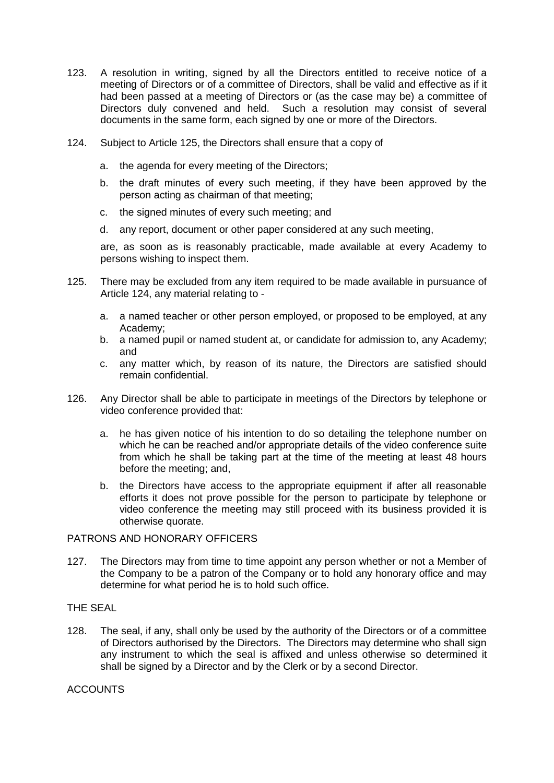- 123. A resolution in writing, signed by all the Directors entitled to receive notice of a meeting of Directors or of a committee of Directors, shall be valid and effective as if it had been passed at a meeting of Directors or (as the case may be) a committee of Directors duly convened and held. Such a resolution may consist of several documents in the same form, each signed by one or more of the Directors.
- 124. Subject to Article 125, the Directors shall ensure that a copy of
	- a. the agenda for every meeting of the Directors;
	- b. the draft minutes of every such meeting, if they have been approved by the person acting as chairman of that meeting;
	- c. the signed minutes of every such meeting; and
	- d. any report, document or other paper considered at any such meeting,

are, as soon as is reasonably practicable, made available at every Academy to persons wishing to inspect them.

- 125. There may be excluded from any item required to be made available in pursuance of Article 124, any material relating to
	- a. a named teacher or other person employed, or proposed to be employed, at any Academy;
	- b. a named pupil or named student at, or candidate for admission to, any Academy; and
	- c. any matter which, by reason of its nature, the Directors are satisfied should remain confidential.
- 126. Any Director shall be able to participate in meetings of the Directors by telephone or video conference provided that:
	- a. he has given notice of his intention to do so detailing the telephone number on which he can be reached and/or appropriate details of the video conference suite from which he shall be taking part at the time of the meeting at least 48 hours before the meeting; and,
	- b. the Directors have access to the appropriate equipment if after all reasonable efforts it does not prove possible for the person to participate by telephone or video conference the meeting may still proceed with its business provided it is otherwise quorate.

## PATRONS AND HONORARY OFFICERS

127. The Directors may from time to time appoint any person whether or not a Member of the Company to be a patron of the Company or to hold any honorary office and may determine for what period he is to hold such office.

## THE SEAL

128. The seal, if any, shall only be used by the authority of the Directors or of a committee of Directors authorised by the Directors. The Directors may determine who shall sign any instrument to which the seal is affixed and unless otherwise so determined it shall be signed by a Director and by the Clerk or by a second Director.

## ACCOUNTS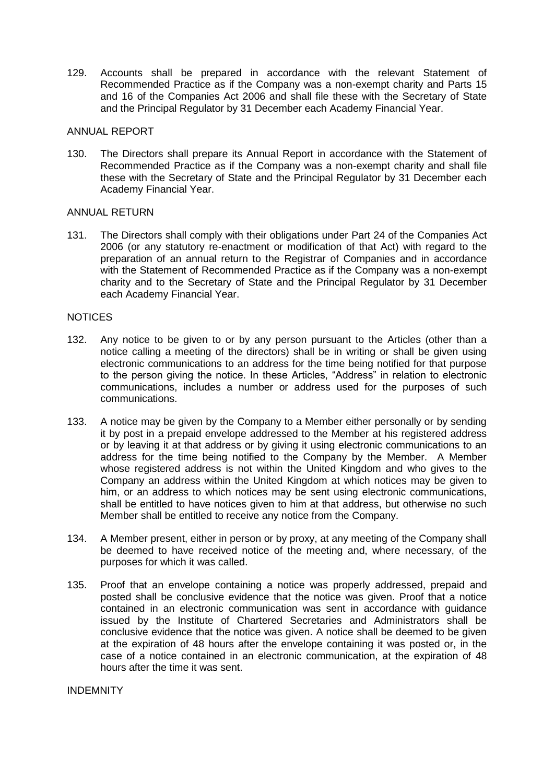129. Accounts shall be prepared in accordance with the relevant Statement of Recommended Practice as if the Company was a non-exempt charity and Parts 15 and 16 of the Companies Act 2006 and shall file these with the Secretary of State and the Principal Regulator by 31 December each Academy Financial Year.

## ANNUAL REPORT

130. The Directors shall prepare its Annual Report in accordance with the Statement of Recommended Practice as if the Company was a non-exempt charity and shall file these with the Secretary of State and the Principal Regulator by 31 December each Academy Financial Year.

## ANNUAL RETURN

131. The Directors shall comply with their obligations under Part 24 of the Companies Act 2006 (or any statutory re-enactment or modification of that Act) with regard to the preparation of an annual return to the Registrar of Companies and in accordance with the Statement of Recommended Practice as if the Company was a non-exempt charity and to the Secretary of State and the Principal Regulator by 31 December each Academy Financial Year.

## **NOTICES**

- 132. Any notice to be given to or by any person pursuant to the Articles (other than a notice calling a meeting of the directors) shall be in writing or shall be given using electronic communications to an address for the time being notified for that purpose to the person giving the notice. In these Articles, "Address" in relation to electronic communications, includes a number or address used for the purposes of such communications.
- 133. A notice may be given by the Company to a Member either personally or by sending it by post in a prepaid envelope addressed to the Member at his registered address or by leaving it at that address or by giving it using electronic communications to an address for the time being notified to the Company by the Member. A Member whose registered address is not within the United Kingdom and who gives to the Company an address within the United Kingdom at which notices may be given to him, or an address to which notices may be sent using electronic communications, shall be entitled to have notices given to him at that address, but otherwise no such Member shall be entitled to receive any notice from the Company.
- 134. A Member present, either in person or by proxy, at any meeting of the Company shall be deemed to have received notice of the meeting and, where necessary, of the purposes for which it was called.
- 135. Proof that an envelope containing a notice was properly addressed, prepaid and posted shall be conclusive evidence that the notice was given. Proof that a notice contained in an electronic communication was sent in accordance with guidance issued by the Institute of Chartered Secretaries and Administrators shall be conclusive evidence that the notice was given. A notice shall be deemed to be given at the expiration of 48 hours after the envelope containing it was posted or, in the case of a notice contained in an electronic communication, at the expiration of 48 hours after the time it was sent.

INDEMNITY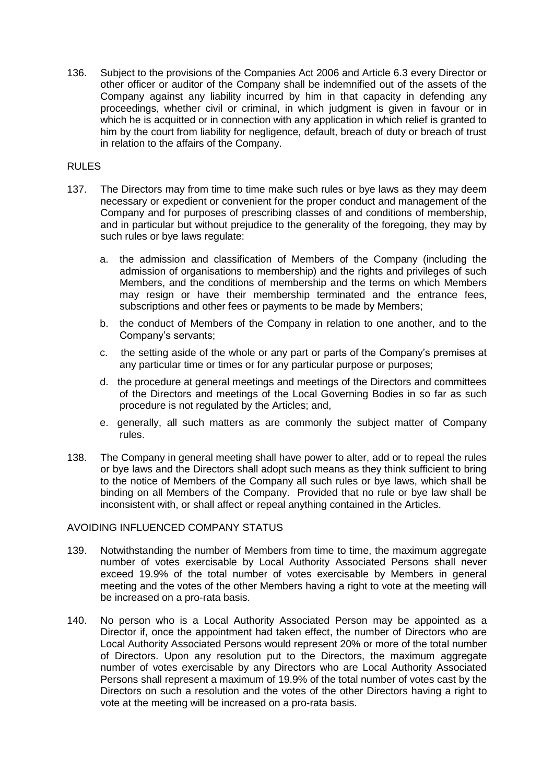136. Subject to the provisions of the Companies Act 2006 and Article 6.3 every Director or other officer or auditor of the Company shall be indemnified out of the assets of the Company against any liability incurred by him in that capacity in defending any proceedings, whether civil or criminal, in which judgment is given in favour or in which he is acquitted or in connection with any application in which relief is granted to him by the court from liability for negligence, default, breach of duty or breach of trust in relation to the affairs of the Company.

## RULES

- 137. The Directors may from time to time make such rules or bye laws as they may deem necessary or expedient or convenient for the proper conduct and management of the Company and for purposes of prescribing classes of and conditions of membership, and in particular but without prejudice to the generality of the foregoing, they may by such rules or bye laws regulate:
	- a. the admission and classification of Members of the Company (including the admission of organisations to membership) and the rights and privileges of such Members, and the conditions of membership and the terms on which Members may resign or have their membership terminated and the entrance fees, subscriptions and other fees or payments to be made by Members;
	- b. the conduct of Members of the Company in relation to one another, and to the Company's servants;
	- c. the setting aside of the whole or any part or parts of the Company's premises at any particular time or times or for any particular purpose or purposes;
	- d. the procedure at general meetings and meetings of the Directors and committees of the Directors and meetings of the Local Governing Bodies in so far as such procedure is not regulated by the Articles; and,
	- e. generally, all such matters as are commonly the subject matter of Company rules.
- 138. The Company in general meeting shall have power to alter, add or to repeal the rules or bye laws and the Directors shall adopt such means as they think sufficient to bring to the notice of Members of the Company all such rules or bye laws, which shall be binding on all Members of the Company. Provided that no rule or bye law shall be inconsistent with, or shall affect or repeal anything contained in the Articles.

## AVOIDING INFLUENCED COMPANY STATUS

- 139. Notwithstanding the number of Members from time to time, the maximum aggregate number of votes exercisable by Local Authority Associated Persons shall never exceed 19.9% of the total number of votes exercisable by Members in general meeting and the votes of the other Members having a right to vote at the meeting will be increased on a pro-rata basis.
- 140. No person who is a Local Authority Associated Person may be appointed as a Director if, once the appointment had taken effect, the number of Directors who are Local Authority Associated Persons would represent 20% or more of the total number of Directors. Upon any resolution put to the Directors, the maximum aggregate number of votes exercisable by any Directors who are Local Authority Associated Persons shall represent a maximum of 19.9% of the total number of votes cast by the Directors on such a resolution and the votes of the other Directors having a right to vote at the meeting will be increased on a pro-rata basis.